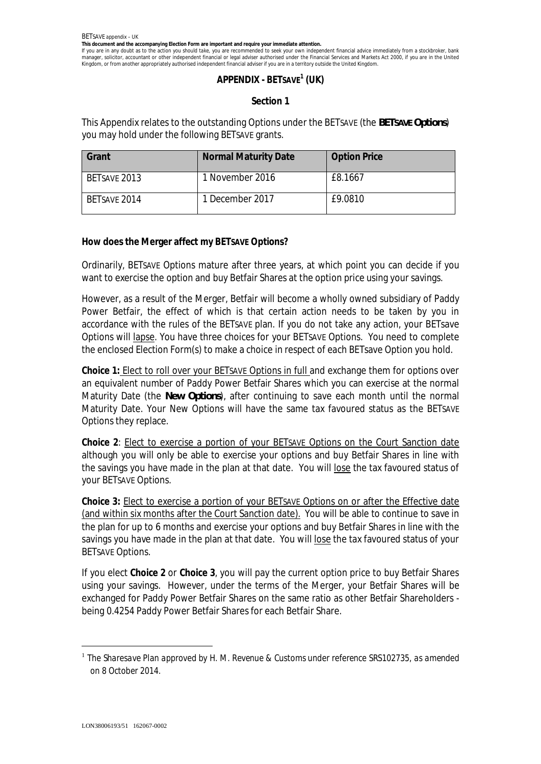**This document and the accompanying Election Form are important and require your immediate attention.**

If you are in any doubt as to the action you should take, you are recommended to seek your own independent financial advice immediately from a stockbroker, bank manager, solicitor, accountant or other independent financial or legal adviser authorised under the Financial Services and Markets Act 2000, if you are in the United Kingdom, or from another appropriately authorised independent financial adviser if you are in a territory outside the United Kingdom.

# **APPENDIX - BETSAVE<sup>1</sup> (UK)**

## **Section 1**

This Appendix relates to the outstanding Options under the BETSAVE (the *BETSAVE Options*) you may hold under the following BETSAVE grants.

| Grant        | <b>Normal Maturity Date</b> | <b>Option Price</b> |
|--------------|-----------------------------|---------------------|
| BETSAVE 2013 | 1 November 2016             | £8.1667             |
| BETSAVE 2014 | 1 December 2017             | £9.0810             |

**How does the Merger affect my BETSAVE Options?**

Ordinarily, BETSAVE Options mature after three years, at which point you can decide if you want to exercise the option and buy Betfair Shares at the option price using your savings.

However, as a result of the Merger, Betfair will become a wholly owned subsidiary of Paddy Power Betfair, the effect of which is that certain action needs to be taken by you in accordance with the rules of the BETSAVE plan. If you do not take any action, your BETsave Options will lapse. You have three choices for your BETSAVE Options. You need to complete the enclosed Election Form(s) to make a choice in respect of each BETsave Option you hold.

**Choice 1:** Elect to roll over your BETSAVE Options in full and exchange them for options over an equivalent number of Paddy Power Betfair Shares which you can exercise at the normal Maturity Date (the *New Options*), after continuing to save each month until the normal Maturity Date. Your New Options will have the same tax favoured status as the BETSAVE Options they replace.

**Choice 2**: Elect to exercise a portion of your BETSAVE Options on the Court Sanction date although you will only be able to exercise your options and buy Betfair Shares in line with the savings you have made in the plan at that date. You will lose the tax favoured status of your BETSAVE Options.

**Choice 3:** Elect to exercise a portion of your BETSAVE Options on or after the Effective date (and within six months after the Court Sanction date). You will be able to continue to save in the plan for up to 6 months and exercise your options and buy Betfair Shares in line with the savings you have made in the plan at that date. You will lose the tax favoured status of your BETSAVE Options.

If you elect **Choice 2** or **Choice 3**, you will pay the current option price to buy Betfair Shares using your savings. However, under the terms of the Merger, your Betfair Shares will be exchanged for Paddy Power Betfair Shares on the same ratio as other Betfair Shareholders being 0.4254 Paddy Power Betfair Shares for each Betfair Share.

<sup>&</sup>lt;sup>1</sup> The Sharesave Plan approved by H. M. Revenue & Customs under reference SRS102735, as amended *on 8 October 2014.*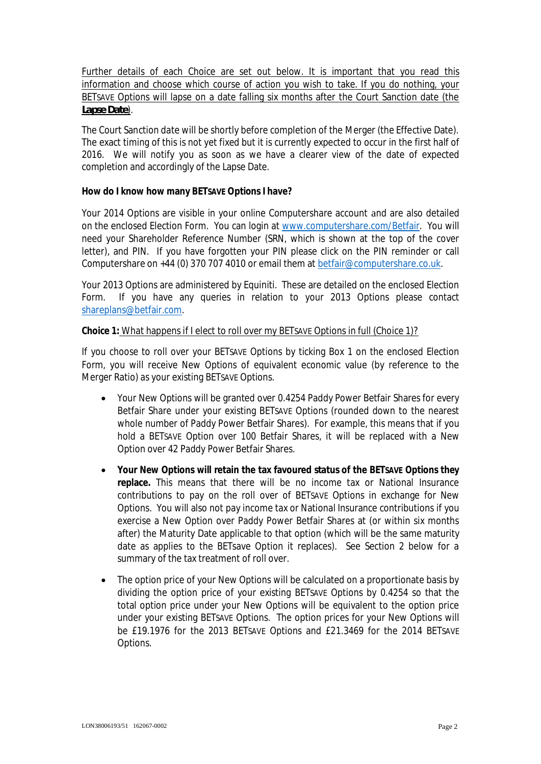Further details of each Choice are set out below. It is important that you read this information and choose which course of action you wish to take. If you do nothing, your BETSAVE Options will lapse on a date falling six months after the Court Sanction date (the *Lapse Date*).

The Court Sanction date will be shortly before completion of the Merger (the Effective Date). The exact timing of this is not yet fixed but it is currently expected to occur in the first half of 2016. We will notify you as soon as we have a clearer view of the date of expected completion and accordingly of the Lapse Date.

## **How do I know how many BETSAVE Options I have?**

Your 2014 Options are visible in your online Computershare account and are also detailed on the enclosed Election Form. You can login at www.computershare.com/Betfair. You will need your Shareholder Reference Number (SRN, which is shown at the top of the cover letter), and PIN. If you have forgotten your PIN please click on the PIN reminder or call Computershare on +44 (0) 370 707 4010 or email them at betfair@computershare.co.uk.

Your 2013 Options are administered by Equiniti. These are detailed on the enclosed Election Form. If you have any queries in relation to your 2013 Options please contact shareplans@betfair.com.

## **Choice 1:** What happens if I elect to roll over my BETSAVE Options in full (Choice 1)?

If you choose to roll over your BETSAVE Options by ticking Box 1 on the enclosed Election Form, you will receive New Options of equivalent economic value (by reference to the Merger Ratio) as your existing BETSAVE Options.

- · Your New Options will be granted over 0.4254 Paddy Power Betfair Shares for every Betfair Share under your existing BETSAVE Options (rounded down to the nearest whole number of Paddy Power Betfair Shares). For example, this means that if you hold a BETSAVE Option over 100 Betfair Shares, it will be replaced with a New Option over 42 Paddy Power Betfair Shares.
- · **Your New Options will retain the tax favoured status of the BETSAVE Options they replace.** This means that there will be no income tax or National Insurance contributions to pay on the roll over of BETSAVE Options in exchange for New Options. You will also not pay income tax or National Insurance contributions if you exercise a New Option over Paddy Power Betfair Shares at (or within six months after) the Maturity Date applicable to that option (which will be the same maturity date as applies to the BETsave Option it replaces). See Section 2 below for a summary of the tax treatment of roll over.
- The option price of your New Options will be calculated on a proportionate basis by dividing the option price of your existing BETSAVE Options by 0.4254 so that the total option price under your New Options will be equivalent to the option price under your existing BETSAVE Options. The option prices for your New Options will be £19.1976 for the 2013 BETSAVE Options and £21.3469 for the 2014 BETSAVE Options.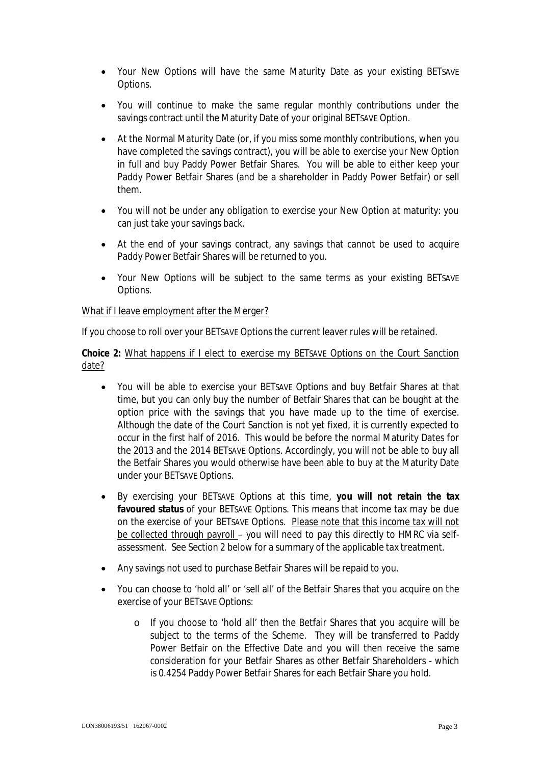- · Your New Options will have the same Maturity Date as your existing BETSAVE Options.
- · You will continue to make the same regular monthly contributions under the savings contract until the Maturity Date of your original BETSAVE Option.
- · At the Normal Maturity Date (or, if you miss some monthly contributions, when you have completed the savings contract), you will be able to exercise your New Option in full and buy Paddy Power Betfair Shares. You will be able to either keep your Paddy Power Betfair Shares (and be a shareholder in Paddy Power Betfair) or sell them.
- · You will not be under any obligation to exercise your New Option at maturity: you can just take your savings back.
- At the end of your savings contract, any savings that cannot be used to acquire Paddy Power Betfair Shares will be returned to you.
- Your New Options will be subject to the same terms as your existing BETSAVE Options.

## What if I leave employment after the Merger?

If you choose to roll over your BETSAVE Options the current leaver rules will be retained.

**Choice 2:** What happens if I elect to exercise my BETSAVE Options on the Court Sanction date?

- · You will be able to exercise your BETSAVE Options and buy Betfair Shares at that time, but you can only buy the number of Betfair Shares that can be bought at the option price with the savings that you have made up to the time of exercise. Although the date of the Court Sanction is not yet fixed, it is currently expected to occur in the first half of 2016. This would be before the normal Maturity Dates for the 2013 and the 2014 BETSAVE Options. Accordingly, you will not be able to buy all the Betfair Shares you would otherwise have been able to buy at the Maturity Date under your BETSAVE Options.
- · By exercising your BETSAVE Options at this time, **you will not retain the tax favoured status** of your BETSAVE Options. This means that income tax may be due on the exercise of your BETSAVE Options. Please note that this income tax will not be collected through payroll – you will need to pay this directly to HMRC via selfassessment. See Section 2 below for a summary of the applicable tax treatment.
- · Any savings not used to purchase Betfair Shares will be repaid to you.
- · You can choose to 'hold all' or 'sell all' of the Betfair Shares that you acquire on the exercise of your BETSAVE Options:
	- o If you choose to 'hold all' then the Betfair Shares that you acquire will be subject to the terms of the Scheme. They will be transferred to Paddy Power Betfair on the Effective Date and you will then receive the same consideration for your Betfair Shares as other Betfair Shareholders - which is 0.4254 Paddy Power Betfair Shares for each Betfair Share you hold.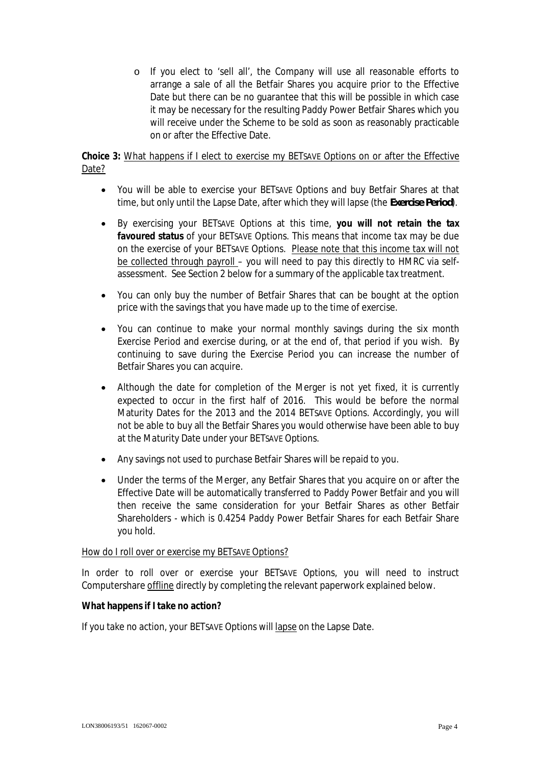o If you elect to 'sell all', the Company will use all reasonable efforts to arrange a sale of all the Betfair Shares you acquire prior to the Effective Date but there can be no guarantee that this will be possible in which case it may be necessary for the resulting Paddy Power Betfair Shares which you will receive under the Scheme to be sold as soon as reasonably practicable on or after the Effective Date.

# **Choice 3:** What happens if I elect to exercise my BETSAVE Options on or after the Effective Date?

- · You will be able to exercise your BETSAVE Options and buy Betfair Shares at that time, but only until the Lapse Date, after which they will lapse (the *Exercise Period*).
- · By exercising your BETSAVE Options at this time, **you will not retain the tax favoured status** of your BETSAVE Options. This means that income tax may be due on the exercise of your BETSAVE Options. Please note that this income tax will not be collected through payroll – you will need to pay this directly to HMRC via selfassessment. See Section 2 below for a summary of the applicable tax treatment.
- · You can only buy the number of Betfair Shares that can be bought at the option price with the savings that you have made up to the time of exercise.
- · You can continue to make your normal monthly savings during the six month Exercise Period and exercise during, or at the end of, that period if you wish. By continuing to save during the Exercise Period you can increase the number of Betfair Shares you can acquire.
- Although the date for completion of the Merger is not yet fixed, it is currently expected to occur in the first half of 2016. This would be before the normal Maturity Dates for the 2013 and the 2014 BETSAVE Options. Accordingly, you will not be able to buy all the Betfair Shares you would otherwise have been able to buy at the Maturity Date under your BETSAVE Options.
- · Any savings not used to purchase Betfair Shares will be repaid to you.
- · Under the terms of the Merger, any Betfair Shares that you acquire on or after the Effective Date will be automatically transferred to Paddy Power Betfair and you will then receive the same consideration for your Betfair Shares as other Betfair Shareholders - which is 0.4254 Paddy Power Betfair Shares for each Betfair Share you hold.

## How do I roll over or exercise my BETSAVE Options?

In order to roll over or exercise your BETSAVE Options, you will need to instruct Computershare offline directly by completing the relevant paperwork explained below.

**What happens if I take no action?**

If you take no action, your BETSAVE Options will lapse on the Lapse Date.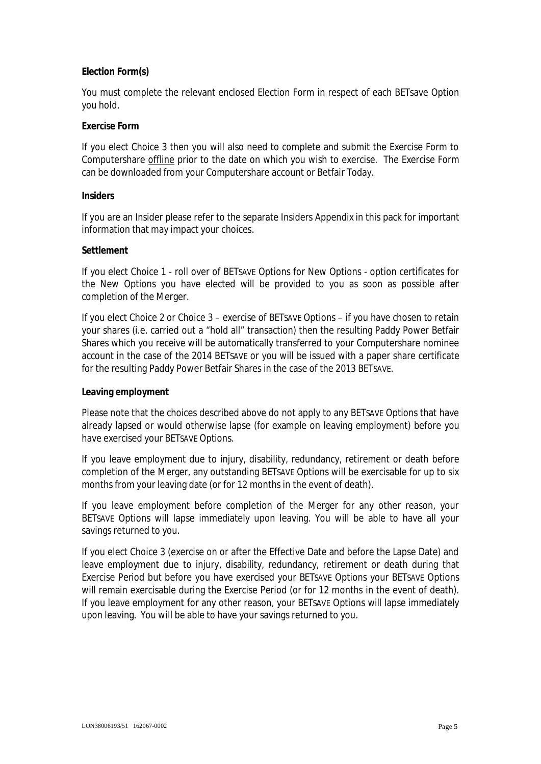## **Election Form(s)**

You must complete the relevant enclosed Election Form in respect of each BETsave Option you hold.

## **Exercise Form**

If you elect Choice 3 then you will also need to complete and submit the Exercise Form to Computershare offline prior to the date on which you wish to exercise. The Exercise Form can be downloaded from your Computershare account or Betfair Today.

### **Insiders**

If you are an Insider please refer to the separate Insiders Appendix in this pack for important information that may impact your choices.

### **Settlement**

If you elect Choice 1 - roll over of BETSAVE Options for New Options - option certificates for the New Options you have elected will be provided to you as soon as possible after completion of the Merger.

If you elect Choice 2 or Choice 3 – exercise of BETSAVE Options – if you have chosen to retain your shares (i.e. carried out a "hold all" transaction) then the resulting Paddy Power Betfair Shares which you receive will be automatically transferred to your Computershare nominee account in the case of the 2014 BETSAVE or you will be issued with a paper share certificate for the resulting Paddy Power Betfair Shares in the case of the 2013 BETSAVE.

### **Leaving employment**

Please note that the choices described above do not apply to any BETSAVE Options that have already lapsed or would otherwise lapse (for example on leaving employment) before you have exercised your BETSAVE Options.

If you leave employment due to injury, disability, redundancy, retirement or death before completion of the Merger, any outstanding BETSAVE Options will be exercisable for up to six months from your leaving date (or for 12 months in the event of death).

If you leave employment before completion of the Merger for any other reason, your BETSAVE Options will lapse immediately upon leaving. You will be able to have all your savings returned to you.

If you elect Choice 3 (exercise on or after the Effective Date and before the Lapse Date) and leave employment due to injury, disability, redundancy, retirement or death during that Exercise Period but before you have exercised your BETSAVE Options your BETSAVE Options will remain exercisable during the Exercise Period (or for 12 months in the event of death). If you leave employment for any other reason, your BETSAVE Options will lapse immediately upon leaving. You will be able to have your savings returned to you.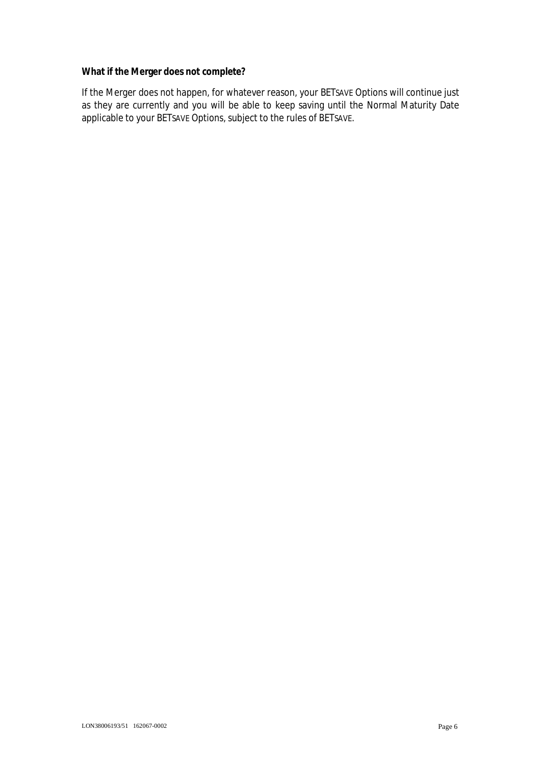**What if the Merger does not complete?**

If the Merger does not happen, for whatever reason, your BETSAVE Options will continue just as they are currently and you will be able to keep saving until the Normal Maturity Date applicable to your BETSAVE Options, subject to the rules of BETSAVE.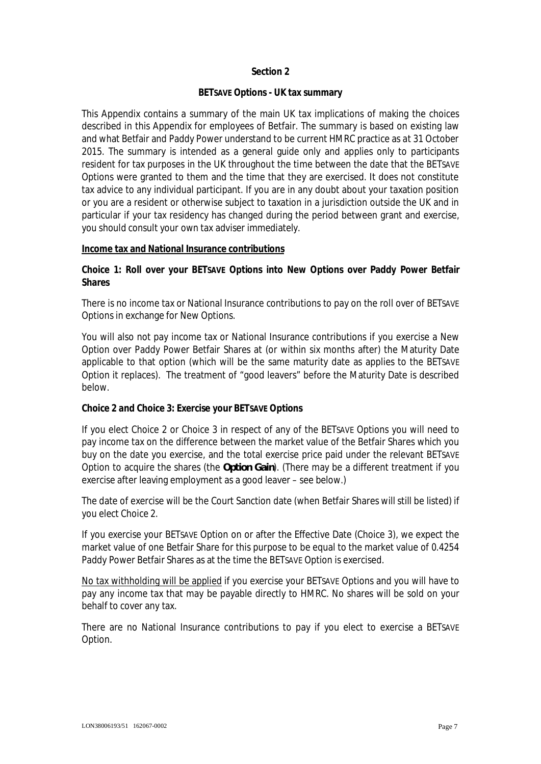## **Section 2**

## **BETSAVE Options - UK tax summary**

This Appendix contains a summary of the main UK tax implications of making the choices described in this Appendix for employees of Betfair. The summary is based on existing law and what Betfair and Paddy Power understand to be current HMRC practice as at 31 October 2015. The summary is intended as a general guide only and applies only to participants resident for tax purposes in the UK throughout the time between the date that the BETSAVE Options were granted to them and the time that they are exercised. It does not constitute tax advice to any individual participant. If you are in any doubt about your taxation position or you are a resident or otherwise subject to taxation in a jurisdiction outside the UK and in particular if your tax residency has changed during the period between grant and exercise, you should consult your own tax adviser immediately.

### **Income tax and National Insurance contributions**

**Choice 1: Roll over your BETSAVE Options into New Options over Paddy Power Betfair Shares**

There is no income tax or National Insurance contributions to pay on the roll over of BETSAVE Options in exchange for New Options.

You will also not pay income tax or National Insurance contributions if you exercise a New Option over Paddy Power Betfair Shares at (or within six months after) the Maturity Date applicable to that option (which will be the same maturity date as applies to the BETSAVE Option it replaces). The treatment of "good leavers" before the Maturity Date is described below.

### **Choice 2 and Choice 3: Exercise your BETSAVE Options**

If you elect Choice 2 or Choice 3 in respect of any of the BETSAVE Options you will need to pay income tax on the difference between the market value of the Betfair Shares which you buy on the date you exercise, and the total exercise price paid under the relevant BETSAVE Option to acquire the shares (the *Option Gain*). (There may be a different treatment if you exercise after leaving employment as a good leaver – see below.)

The date of exercise will be the Court Sanction date (when Betfair Shares will still be listed) if you elect Choice 2.

If you exercise your BETSAVE Option on or after the Effective Date (Choice 3), we expect the market value of one Betfair Share for this purpose to be equal to the market value of 0.4254 Paddy Power Betfair Shares as at the time the BETSAVE Option is exercised.

No tax withholding will be applied if you exercise your BETSAVE Options and you will have to pay any income tax that may be payable directly to HMRC. No shares will be sold on your behalf to cover any tax.

There are no National Insurance contributions to pay if you elect to exercise a BETSAVE Option.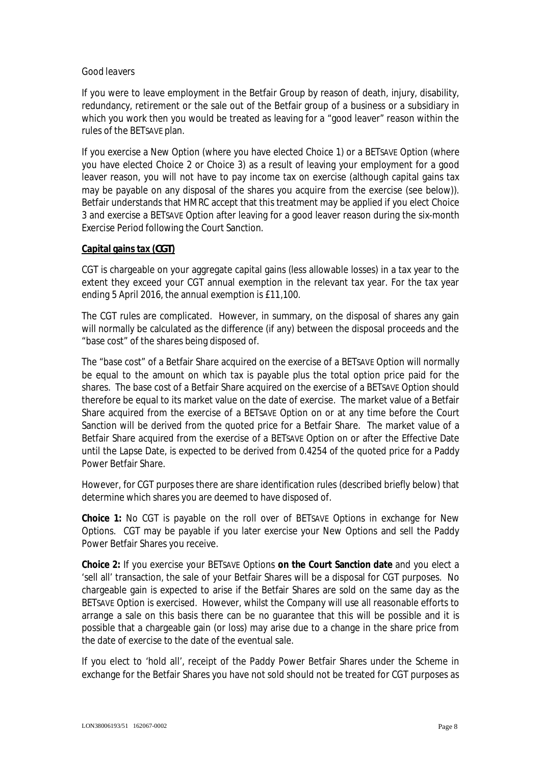## *Good leavers*

If you were to leave employment in the Betfair Group by reason of death, injury, disability, redundancy, retirement or the sale out of the Betfair group of a business or a subsidiary in which you work then you would be treated as leaving for a "good leaver" reason within the rules of the BETSAVE plan.

If you exercise a New Option (where you have elected Choice 1) or a BETSAVE Option (where you have elected Choice 2 or Choice 3) as a result of leaving your employment for a good leaver reason, you will not have to pay income tax on exercise (although capital gains tax may be payable on any disposal of the shares you acquire from the exercise (see below)). Betfair understands that HMRC accept that this treatment may be applied if you elect Choice 3 and exercise a BETSAVE Option after leaving for a good leaver reason during the six-month Exercise Period following the Court Sanction.

## **Capital gains tax (***CGT***)**

CGT is chargeable on your aggregate capital gains (less allowable losses) in a tax year to the extent they exceed your CGT annual exemption in the relevant tax year. For the tax year ending 5 April 2016, the annual exemption is £11,100.

The CGT rules are complicated. However, in summary, on the disposal of shares any gain will normally be calculated as the difference (if any) between the disposal proceeds and the "base cost" of the shares being disposed of.

The "base cost" of a Betfair Share acquired on the exercise of a BETSAVE Option will normally be equal to the amount on which tax is payable plus the total option price paid for the shares. The base cost of a Betfair Share acquired on the exercise of a BETSAVE Option should therefore be equal to its market value on the date of exercise. The market value of a Betfair Share acquired from the exercise of a BETSAVE Option on or at any time before the Court Sanction will be derived from the quoted price for a Betfair Share. The market value of a Betfair Share acquired from the exercise of a BETSAVE Option on or after the Effective Date until the Lapse Date, is expected to be derived from 0.4254 of the quoted price for a Paddy Power Betfair Share.

However, for CGT purposes there are share identification rules (described briefly below) that determine which shares you are deemed to have disposed of.

**Choice 1:** No CGT is payable on the roll over of BETSAVE Options in exchange for New Options. CGT may be payable if you later exercise your New Options and sell the Paddy Power Betfair Shares you receive.

**Choice 2:** If you exercise your BETSAVE Options **on the Court Sanction date** and you elect a 'sell all' transaction, the sale of your Betfair Shares will be a disposal for CGT purposes. No chargeable gain is expected to arise if the Betfair Shares are sold on the same day as the BETSAVE Option is exercised. However, whilst the Company will use all reasonable efforts to arrange a sale on this basis there can be no guarantee that this will be possible and it is possible that a chargeable gain (or loss) may arise due to a change in the share price from the date of exercise to the date of the eventual sale.

If you elect to 'hold all', receipt of the Paddy Power Betfair Shares under the Scheme in exchange for the Betfair Shares you have not sold should not be treated for CGT purposes as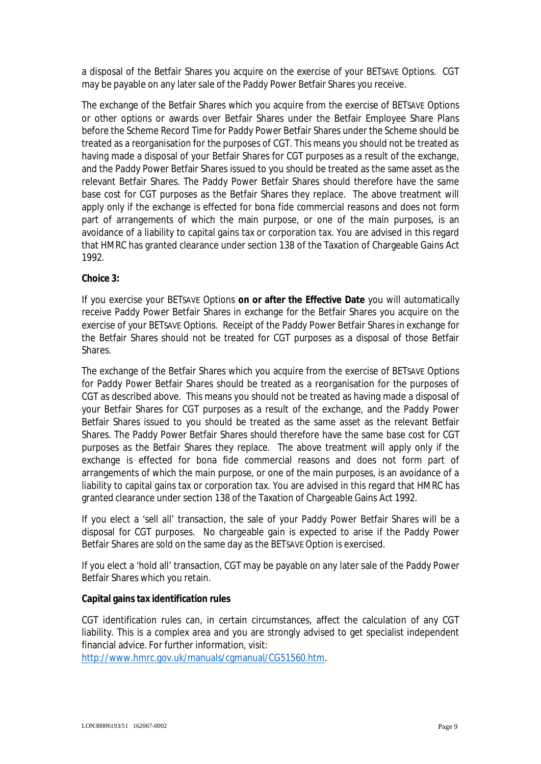a disposal of the Betfair Shares you acquire on the exercise of your BETSAVE Options. CGT may be payable on any later sale of the Paddy Power Betfair Shares you receive.

The exchange of the Betfair Shares which you acquire from the exercise of BETSAVE Options or other options or awards over Betfair Shares under the Betfair Employee Share Plans before the Scheme Record Time for Paddy Power Betfair Shares under the Scheme should be treated as a reorganisation for the purposes of CGT. This means you should not be treated as having made a disposal of your Betfair Shares for CGT purposes as a result of the exchange, and the Paddy Power Betfair Shares issued to you should be treated as the same asset as the relevant Betfair Shares. The Paddy Power Betfair Shares should therefore have the same base cost for CGT purposes as the Betfair Shares they replace. The above treatment will apply only if the exchange is effected for bona fide commercial reasons and does not form part of arrangements of which the main purpose, or one of the main purposes, is an avoidance of a liability to capital gains tax or corporation tax. You are advised in this regard that HMRC has granted clearance under section 138 of the Taxation of Chargeable Gains Act 1992.

**Choice 3:**

If you exercise your BETSAVE Options **on or after the Effective Date** you will automatically receive Paddy Power Betfair Shares in exchange for the Betfair Shares you acquire on the exercise of your BETSAVE Options. Receipt of the Paddy Power Betfair Shares in exchange for the Betfair Shares should not be treated for CGT purposes as a disposal of those Betfair Shares.

The exchange of the Betfair Shares which you acquire from the exercise of BETSAVE Options for Paddy Power Betfair Shares should be treated as a reorganisation for the purposes of CGT as described above. This means you should not be treated as having made a disposal of your Betfair Shares for CGT purposes as a result of the exchange, and the Paddy Power Betfair Shares issued to you should be treated as the same asset as the relevant Betfair Shares. The Paddy Power Betfair Shares should therefore have the same base cost for CGT purposes as the Betfair Shares they replace. The above treatment will apply only if the exchange is effected for bona fide commercial reasons and does not form part of arrangements of which the main purpose, or one of the main purposes, is an avoidance of a liability to capital gains tax or corporation tax. You are advised in this regard that HMRC has granted clearance under section 138 of the Taxation of Chargeable Gains Act 1992.

If you elect a 'sell all' transaction, the sale of your Paddy Power Betfair Shares will be a disposal for CGT purposes. No chargeable gain is expected to arise if the Paddy Power Betfair Shares are sold on the same day as the BETSAVE Option is exercised.

If you elect a 'hold all' transaction, CGT may be payable on any later sale of the Paddy Power Betfair Shares which you retain.

**Capital gains tax identification rules**

CGT identification rules can, in certain circumstances, affect the calculation of any CGT liability. This is a complex area and you are strongly advised to get specialist independent financial advice. For further information, visit:

http://www.hmrc.gov.uk/manuals/cgmanual/CG51560.htm.